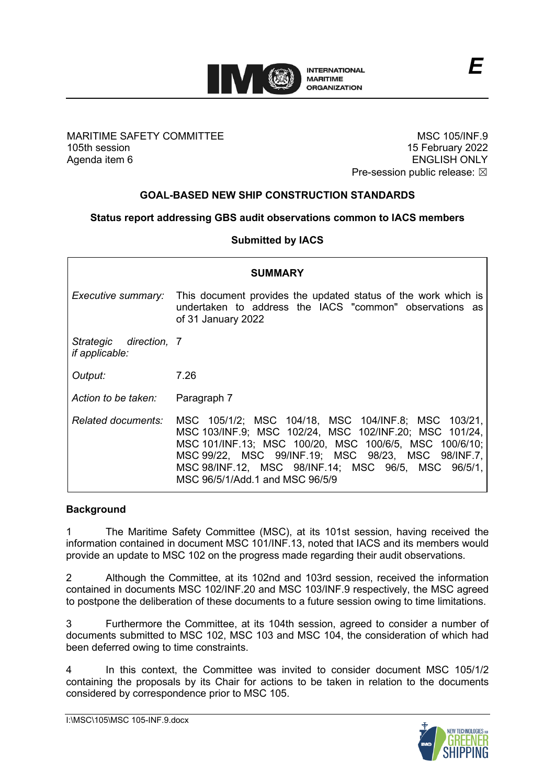

MARITIME SAFETY COMMITTEE 105th session Agenda item 6

MSC 105/INF.9 15 February 2022 ENGLISH ONLY Pre-session public release:  $\boxtimes$ 

# **GOAL-BASED NEW SHIP CONSTRUCTION STANDARDS**

## **Status report addressing GBS audit observations common to IACS members**

### **Submitted by IACS**

| <b>SUMMARY</b>                                  |                                                                                                                                                                                                                                                                                                                         |  |
|-------------------------------------------------|-------------------------------------------------------------------------------------------------------------------------------------------------------------------------------------------------------------------------------------------------------------------------------------------------------------------------|--|
|                                                 | <i>Executive summary:</i> This document provides the updated status of the work which is<br>undertaken to address the IACS "common" observations as<br>of 31 January 2022                                                                                                                                               |  |
| Strategic direction, 7<br><i>if applicable:</i> |                                                                                                                                                                                                                                                                                                                         |  |
| Output:                                         | 7.26                                                                                                                                                                                                                                                                                                                    |  |
| Action to be taken:                             | Paragraph 7                                                                                                                                                                                                                                                                                                             |  |
| Related documents:                              | MSC 105/1/2; MSC 104/18, MSC 104/INF.8; MSC 103/21,<br>MSC 103/INF.9; MSC 102/24, MSC 102/INF.20; MSC 101/24,<br>MSC 101/INF.13; MSC 100/20, MSC 100/6/5, MSC 100/6/10;<br>MSC 99/22, MSC 99/INF.19; MSC 98/23, MSC 98/INF.7,<br>MSC 98/INF.12, MSC 98/INF.14; MSC 96/5, MSC 96/5/1,<br>MSC 96/5/1/Add.1 and MSC 96/5/9 |  |

#### **Background**

1 The Maritime Safety Committee (MSC), at its 101st session, having received the information contained in document MSC 101/INF.13, noted that IACS and its members would provide an update to MSC 102 on the progress made regarding their audit observations.

2 Although the Committee, at its 102nd and 103rd session, received the information contained in documents MSC 102/INF.20 and MSC 103/INF.9 respectively, the MSC agreed to postpone the deliberation of these documents to a future session owing to time limitations.

3 Furthermore the Committee, at its 104th session, agreed to consider a number of documents submitted to MSC 102, MSC 103 and MSC 104, the consideration of which had been deferred owing to time constraints.

4 In this context, the Committee was invited to consider document MSC 105/1/2 containing the proposals by its Chair for actions to be taken in relation to the documents considered by correspondence prior to MSC 105.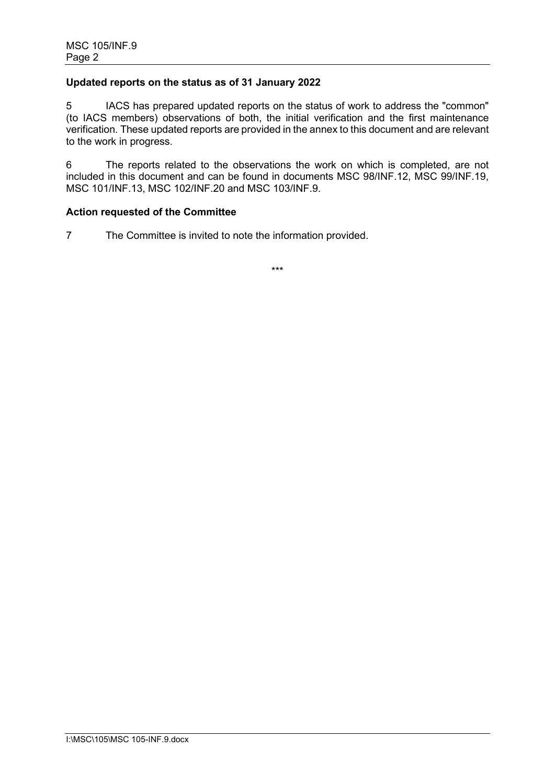## **Updated reports on the status as of 31 January 2022**

5 IACS has prepared updated reports on the status of work to address the "common" (to IACS members) observations of both, the initial verification and the first maintenance verification. These updated reports are provided in the annex to this document and are relevant to the work in progress.

6 The reports related to the observations the work on which is completed, are not included in this document and can be found in documents MSC 98/INF.12, MSC 99/INF.19, MSC 101/INF.13, MSC 102/INF.20 and MSC 103/INF.9.

### **Action requested of the Committee**

7 The Committee is invited to note the information provided.

\*\*\*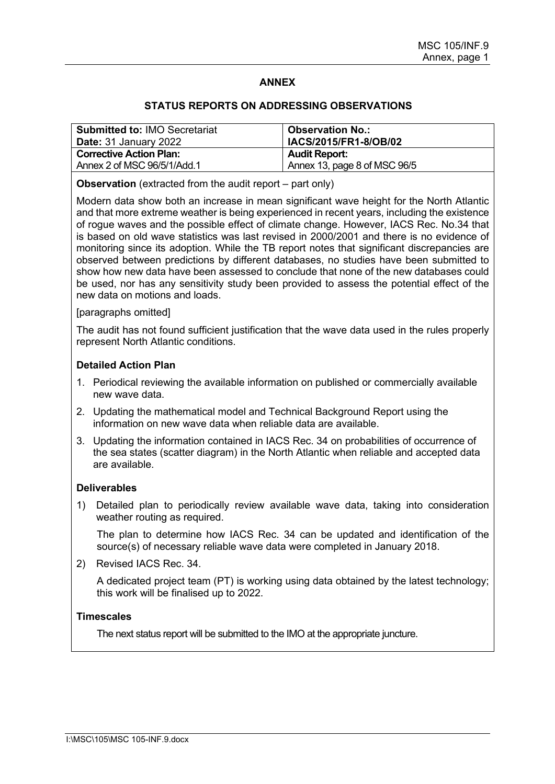## **ANNEX**

#### **STATUS REPORTS ON ADDRESSING OBSERVATIONS**

| <b>Submitted to: IMO Secretariat</b><br>Date: 31 January 2022 | <b>Observation No.:</b><br><b>IACS/2015/FR1-8/OB/02</b> |
|---------------------------------------------------------------|---------------------------------------------------------|
| <b>Corrective Action Plan:</b>                                | <b>Audit Report:</b>                                    |
| Annex 2 of MSC 96/5/1/Add.1                                   | Annex 13, page 8 of MSC 96/5                            |

**Observation** (extracted from the audit report – part only)

Modern data show both an increase in mean significant wave height for the North Atlantic and that more extreme weather is being experienced in recent years, including the existence of rogue waves and the possible effect of climate change. However, IACS Rec. No.34 that is based on old wave statistics was last revised in 2000/2001 and there is no evidence of monitoring since its adoption. While the TB report notes that significant discrepancies are observed between predictions by different databases, no studies have been submitted to show how new data have been assessed to conclude that none of the new databases could be used, nor has any sensitivity study been provided to assess the potential effect of the new data on motions and loads.

#### [paragraphs omitted]

The audit has not found sufficient justification that the wave data used in the rules properly represent North Atlantic conditions.

#### **Detailed Action Plan**

- 1. Periodical reviewing the available information on published or commercially available new wave data.
- 2. Updating the mathematical model and Technical Background Report using the information on new wave data when reliable data are available.
- 3. Updating the information contained in IACS Rec. 34 on probabilities of occurrence of the sea states (scatter diagram) in the North Atlantic when reliable and accepted data are available.

#### **Deliverables**

1) Detailed plan to periodically review available wave data, taking into consideration weather routing as required.

The plan to determine how IACS Rec. 34 can be updated and identification of the source(s) of necessary reliable wave data were completed in January 2018.

2) Revised IACS Rec. 34.

A dedicated project team (PT) is working using data obtained by the latest technology; this work will be finalised up to 2022.

### **Timescales**

The next status report will be submitted to the IMO at the appropriate juncture.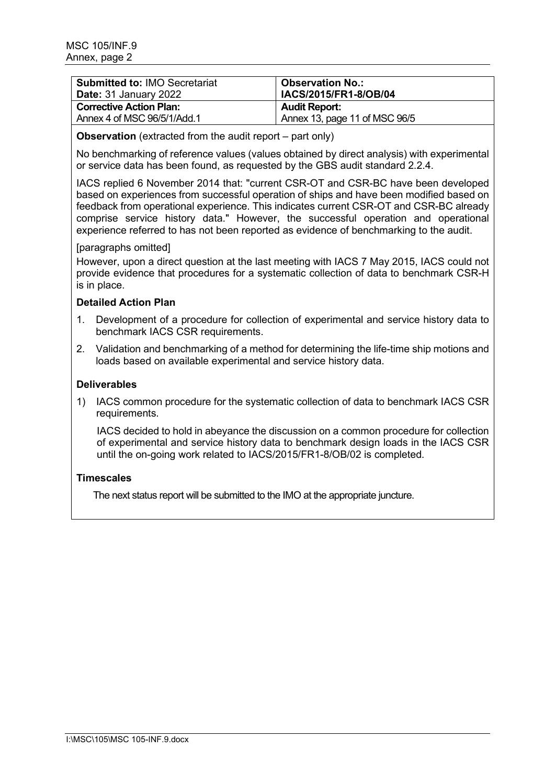| <b>Submitted to: IMO Secretariat</b><br><b>Date:</b> 31 January 2022 | <b>Observation No.:</b><br>IACS/2015/FR1-8/OB/04 |
|----------------------------------------------------------------------|--------------------------------------------------|
| <b>Corrective Action Plan:</b>                                       | <b>Audit Report:</b>                             |
| Annex 4 of MSC 96/5/1/Add.1                                          | Annex 13, page 11 of MSC 96/5                    |

### **Observation** (extracted from the audit report – part only)

No benchmarking of reference values (values obtained by direct analysis) with experimental or service data has been found, as requested by the GBS audit standard 2.2.4.

IACS replied 6 November 2014 that: "current CSR-OT and CSR-BC have been developed based on experiences from successful operation of ships and have been modified based on feedback from operational experience. This indicates current CSR-OT and CSR-BC already comprise service history data." However, the successful operation and operational experience referred to has not been reported as evidence of benchmarking to the audit.

### [paragraphs omitted]

However, upon a direct question at the last meeting with IACS 7 May 2015, IACS could not provide evidence that procedures for a systematic collection of data to benchmark CSR-H is in place.

## **Detailed Action Plan**

- 1. Development of a procedure for collection of experimental and service history data to benchmark IACS CSR requirements.
- 2. Validation and benchmarking of a method for determining the life-time ship motions and loads based on available experimental and service history data.

## **Deliverables**

1) IACS common procedure for the systematic collection of data to benchmark IACS CSR requirements.

IACS decided to hold in abeyance the discussion on a common procedure for collection of experimental and service history data to benchmark design loads in the IACS CSR until the on-going work related to IACS/2015/FR1-8/OB/02 is completed.

## **Timescales**

The next status report will be submitted to the IMO at the appropriate juncture.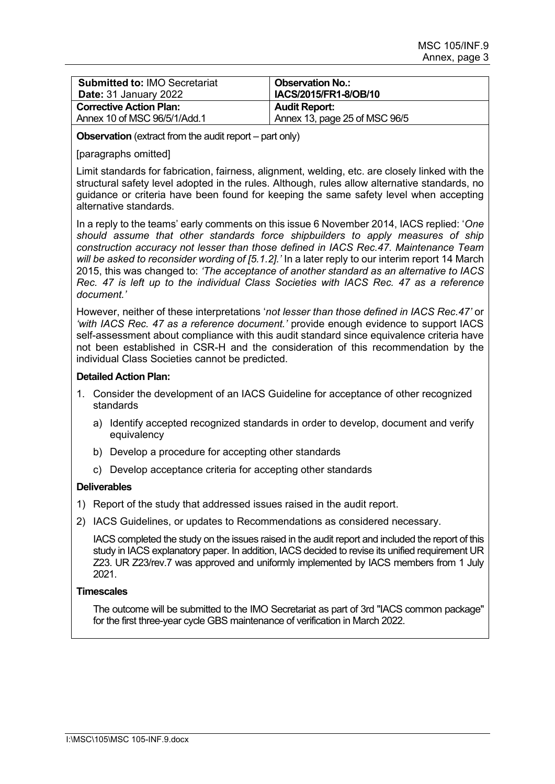| <b>Submitted to: IMO Secretariat</b> | <b>Observation No.:</b>       |
|--------------------------------------|-------------------------------|
| <b>Date: 31 January 2022</b>         | IACS/2015/FR1-8/OB/10         |
| <b>Corrective Action Plan:</b>       | <b>Audit Report:</b>          |
| Annex 10 of MSC 96/5/1/Add.1         | Annex 13, page 25 of MSC 96/5 |
|                                      |                               |

**Observation** (extract from the audit report – part only)

### [paragraphs omitted]

Limit standards for fabrication, fairness, alignment, welding, etc. are closely linked with the structural safety level adopted in the rules. Although, rules allow alternative standards, no guidance or criteria have been found for keeping the same safety level when accepting alternative standards.

In a reply to the teams' early comments on this issue 6 November 2014, IACS replied: '*One should assume that other standards force shipbuilders to apply measures of ship construction accuracy not lesser than those defined in IACS Rec.47. Maintenance Team will be asked to reconsider wording of [5.1.2].'* In a later reply to our interim report 14 March 2015, this was changed to: *'The acceptance of another standard as an alternative to IACS Rec. 47 is left up to the individual Class Societies with IACS Rec. 47 as a reference document.'*

However, neither of these interpretations '*not lesser than those defined in IACS Rec.47'* or *'with IACS Rec. 47 as a reference document.'* provide enough evidence to support IACS self-assessment about compliance with this audit standard since equivalence criteria have not been established in CSR-H and the consideration of this recommendation by the individual Class Societies cannot be predicted.

### **Detailed Action Plan:**

- 1. Consider the development of an IACS Guideline for acceptance of other recognized standards
	- a) Identify accepted recognized standards in order to develop, document and verify equivalency
	- b) Develop a procedure for accepting other standards
	- c) Develop acceptance criteria for accepting other standards

### **Deliverables**

- 1) Report of the study that addressed issues raised in the audit report.
- 2) IACS Guidelines, or updates to Recommendations as considered necessary.

IACS completed the study on the issues raised in the audit report and included the report of this study in IACS explanatory paper. In addition, IACS decided to revise its unified requirement UR Z23. UR Z23/rev.7 was approved and uniformly implemented by IACS members from 1 July 2021.

### **Timescales**

The outcome will be submitted to the IMO Secretariat as part of 3rd "IACS common package" for the first three-year cycle GBS maintenance of verification in March 2022.